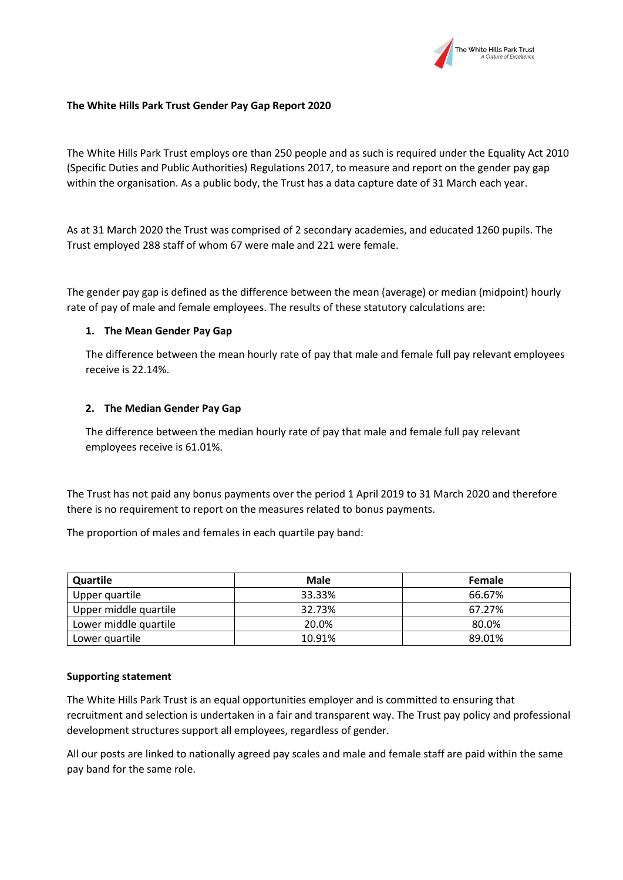

## **The White Hills Park Trust Gender Pay Gap Report 2020**

The White Hills Park Trust employs ore than 250 people and as such is required under the Equality Act 2010 (Specific Duties and Public Authorities) Regulations 2017, to measure and report on the gender pay gap within the organisation. As a public body, the Trust has a data capture date of 31 March each year.

As at 31 March 2020 the Trust was comprised of 2 secondary academies, and educated 1260 pupils. The Trust employed 288 staff of whom 67 were male and 221 were female.

The gender pay gap is defined as the difference between the mean (average) or median (midpoint) hourly rate of pay of male and female employees. The results of these statutory calculations are:

## **1. The Mean Gender Pay Gap**

The difference between the mean hourly rate of pay that male and female full pay relevant employees receive is 22.14%.

## **2. The Median Gender Pay Gap**

The difference between the median hourly rate of pay that male and female full pay relevant employees receive is 61.01%.

The Trust has not paid any bonus payments over the period 1 April 2019 to 31 March 2020 and therefore there is no requirement to report on the measures related to bonus payments.

The proportion of males and females in each quartile pay band:

| Quartile              | Male   | <b>Female</b> |
|-----------------------|--------|---------------|
| Upper quartile        | 33.33% | 66.67%        |
| Upper middle quartile | 32.73% | 67.27%        |
| Lower middle quartile | 20.0%  | 80.0%         |
| Lower quartile        | 10.91% | 89.01%        |

## **Supporting statement**

The White Hills Park Trust is an equal opportunities employer and is committed to ensuring that recruitment and selection is undertaken in a fair and transparent way. The Trust pay policy and professional development structures support all employees, regardless of gender.

All our posts are linked to nationally agreed pay scales and male and female staff are paid within the same pay band for the same role.